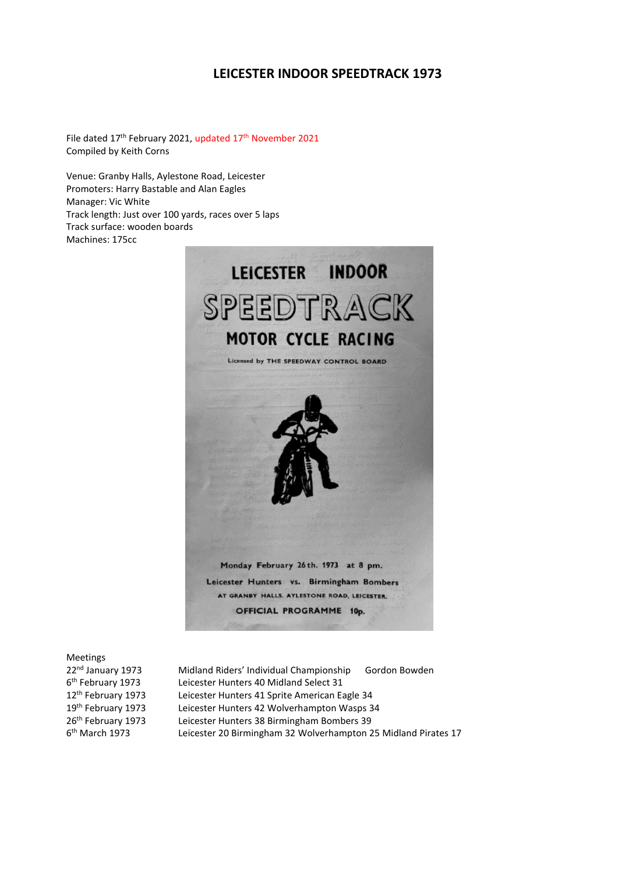# **LEICESTER INDOOR SPEEDTRACK 1973**

File dated 17<sup>th</sup> February 2021, updated 17<sup>th</sup> November 2021 Compiled by Keith Corns

Venue: Granby Halls, Aylestone Road, Leicester Promoters: Harry Bastable and Alan Eagles Manager: Vic White Track length: Just over 100 yards, races over 5 laps Track surface: wooden boards Machines: 175cc



Meetings 6<sup>th</sup> February 1973  $6<sup>th</sup>$  March 1973

22<sup>nd</sup> January 1973 Midland Riders' Individual Championship Gordon Bowden Leicester Hunters 40 Midland Select 31 12<sup>th</sup> February 1973 Leicester Hunters 41 Sprite American Eagle 34 19<sup>th</sup> February 1973 Leicester Hunters 42 Wolverhampton Wasps 34 26th February 1973 Leicester Hunters 38 Birmingham Bombers 39 Leicester 20 Birmingham 32 Wolverhampton 25 Midland Pirates 17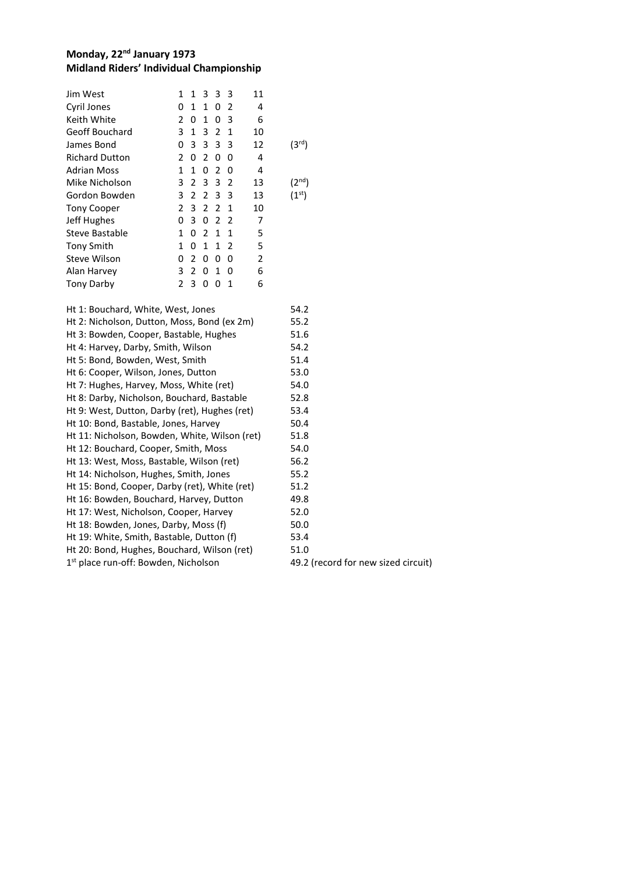#### **Monday, 22nd January 1973 Midland Riders' Individual Championship**

| Jim West              | 1             | 1             | 3             | - 3           | - 3         | 11 |                    |
|-----------------------|---------------|---------------|---------------|---------------|-------------|----|--------------------|
| Cyril Jones           | 0             | 1             | 1             | 0             | 2           | 4  |                    |
| Keith White           | $\mathcal{P}$ | 0             | 1             | 0             | 3           | 6  |                    |
| Geoff Bouchard        | 3             | 1             | 3             | 2             | 1           | 10 |                    |
| James Bond            | 0             | 3             | 3             | 3 3           |             | 12 | (3 <sup>rd</sup> ) |
| <b>Richard Dutton</b> | $\mathcal{P}$ | 0             | $\mathcal{P}$ | 0             | 0           | 4  |                    |
| <b>Adrian Moss</b>    | 1             | 1             | 0             | 2             | 0           | 4  |                    |
| Mike Nicholson        | 3             | 2             | 3             | 3             | 2           | 13 | $2^{nd}$           |
| Gordon Bowden         | 3             | 2             | 2             | 33            |             | 13 | (1 <sup>st</sup> ) |
| <b>Tony Cooper</b>    | 2             | 3             | $\mathcal{P}$ | $\mathcal{P}$ | $\mathbf 1$ | 10 |                    |
| Jeff Hughes           | 0             | 3             | 0             | 2             | -2          | 7  |                    |
| Steve Bastable        | 1             | 0             | 2             | 1             | 1           | 5  |                    |
| <b>Tony Smith</b>     | 1             | 0             | 1             |               | $1\quad2$   | 5  |                    |
| Steve Wilson          | 0             | $\mathcal{P}$ | 0             | 0             | 0           | 2  |                    |
| Alan Harvey           | 3             | 2             | 0             | 1             | 0           | 6  |                    |
| <b>Tony Darby</b>     | 2             | 3             | O             | n             | 1           | 6  |                    |
|                       |               |               |               |               |             |    |                    |

| Ht 1: Bouchard, White, West, Jones               | 54.2        |
|--------------------------------------------------|-------------|
| Ht 2: Nicholson, Dutton, Moss, Bond (ex 2m)      | 55.2        |
| Ht 3: Bowden, Cooper, Bastable, Hughes           | 51.6        |
| Ht 4: Harvey, Darby, Smith, Wilson               | 54.2        |
| Ht 5: Bond, Bowden, West, Smith                  | 51.4        |
| Ht 6: Cooper, Wilson, Jones, Dutton              | 53.0        |
| Ht 7: Hughes, Harvey, Moss, White (ret)          | 54.0        |
| Ht 8: Darby, Nicholson, Bouchard, Bastable       | 52.8        |
| Ht 9: West, Dutton, Darby (ret), Hughes (ret)    | 53.4        |
| Ht 10: Bond, Bastable, Jones, Harvey             | 50.4        |
| Ht 11: Nicholson, Bowden, White, Wilson (ret)    | 51.8        |
| Ht 12: Bouchard, Cooper, Smith, Moss             | 54.0        |
| Ht 13: West, Moss, Bastable, Wilson (ret)        | 56.2        |
| Ht 14: Nicholson, Hughes, Smith, Jones           | 55.2        |
| Ht 15: Bond, Cooper, Darby (ret), White (ret)    | 51.2        |
| Ht 16: Bowden, Bouchard, Harvey, Dutton          | 49.8        |
| Ht 17: West, Nicholson, Cooper, Harvey           | 52.0        |
| Ht 18: Bowden, Jones, Darby, Moss (f)            | 50.0        |
| Ht 19: White, Smith, Bastable, Dutton (f)        | 53.4        |
| Ht 20: Bond, Hughes, Bouchard, Wilson (ret)      | 51.0        |
| 1 <sup>st</sup> place run-off: Bowden, Nicholson | 49.2 (recor |
|                                                  |             |

rd for new sized circuit)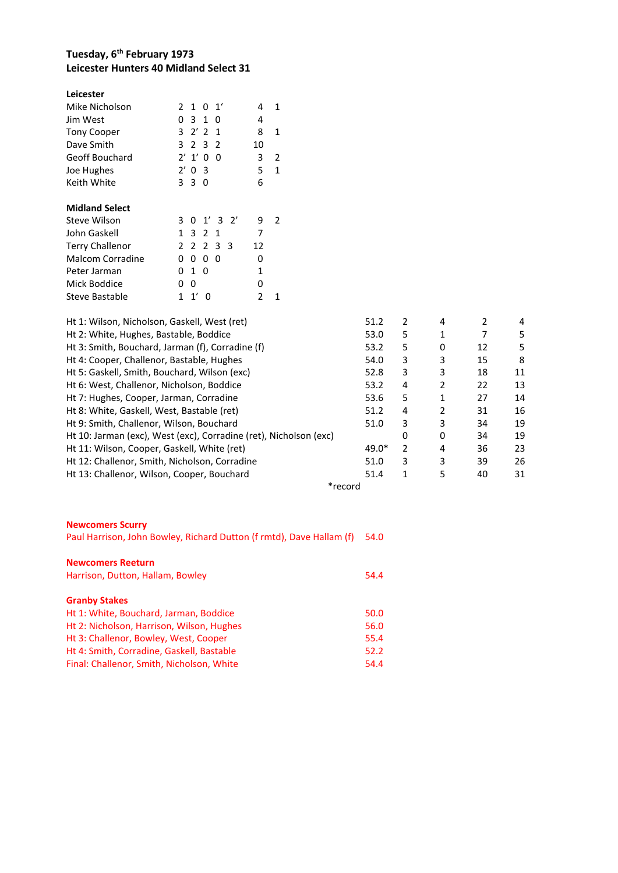# **Tuesday, 6 th February 1973 Leicester Hunters 40 Midland Select 31**

| Leicester              |                                           |                    |
|------------------------|-------------------------------------------|--------------------|
| Mike Nicholson         | 2 1 0 1                                   | 4<br>1             |
| Jim West               | $\mathbf{3}$<br>1<br>0<br>0               | 4                  |
| <b>Tony Cooper</b>     | 3 $2'$ 2<br>$\mathbf{1}$                  | 8<br>1             |
| Dave Smith             | 3.<br>$\mathcal{P}$<br>$\mathcal{P}$<br>3 | 10                 |
| Geoff Bouchard         | $2^{\prime}$<br>1'<br>0<br>0              | 3<br>2             |
| Joe Hughes             | $2^{\prime}$<br>0<br>- 3                  | 5<br>1             |
| Keith White            | 33<br>0                                   | 6                  |
|                        |                                           |                    |
| <b>Midland Select</b>  |                                           |                    |
| Steve Wilson           | $1'$ 3 2'<br>3<br>0                       | 9<br>$\mathcal{P}$ |
| John Gaskell           | 2<br>3<br>1<br>1                          | 7                  |
| <b>Terry Challenor</b> | 2 3<br>$\mathcal{P}$<br>2<br>- 3          | 12                 |
| Malcom Corradine       | 0<br>0<br>0<br>0                          | 0                  |
| Peter Jarman           | 1<br>0<br>0                               | 1                  |
| Mick Boddice           | n<br>ŋ                                    | 0                  |
| Steve Bastable         | 1'<br>1<br>ŋ                              | 2                  |

| Ht 1: Wilson, Nicholson, Gaskell, West (ret)                      | 51.2    | 2 | 4 |    | 4  |
|-------------------------------------------------------------------|---------|---|---|----|----|
| Ht 2: White, Hughes, Bastable, Boddice                            | 53.0    | 5 | 1 |    | 5  |
| Ht 3: Smith, Bouchard, Jarman (f), Corradine (f)                  | 53.2    | 5 | 0 | 12 | 5  |
| Ht 4: Cooper, Challenor, Bastable, Hughes                         | 54.0    | 3 | 3 | 15 | 8  |
| Ht 5: Gaskell, Smith, Bouchard, Wilson (exc)                      | 52.8    | 3 | 3 | 18 | 11 |
| Ht 6: West, Challenor, Nicholson, Boddice                         | 53.2    | 4 | 2 | 22 | 13 |
| Ht 7: Hughes, Cooper, Jarman, Corradine                           | 53.6    | 5 | 1 | 27 | 14 |
| Ht 8: White, Gaskell, West, Bastable (ret)                        | 51.2    | 4 | 2 | 31 | 16 |
| Ht 9: Smith, Challenor, Wilson, Bouchard                          | 51.0    | 3 | 3 | 34 | 19 |
| Ht 10: Jarman (exc), West (exc), Corradine (ret), Nicholson (exc) |         | 0 | 0 | 34 | 19 |
| Ht 11: Wilson, Cooper, Gaskell, White (ret)                       | $49.0*$ | 2 | 4 | 36 | 23 |
| Ht 12: Challenor, Smith, Nicholson, Corradine                     | 51.0    | 3 | 3 | 39 | 26 |
| Ht 13: Challenor, Wilson, Cooper, Bouchard                        | 51.4    |   | 5 | 40 | 31 |
| $\sim$ $\sim$ $\sim$                                              |         |   |   |    |    |

\*record

| <b>Newcomers Scurry</b>                                              |      |
|----------------------------------------------------------------------|------|
| Paul Harrison, John Bowley, Richard Dutton (f rmtd), Dave Hallam (f) | 54.0 |
| <b>Newcomers Reeturn</b>                                             |      |
| Harrison, Dutton, Hallam, Bowley                                     | 54.4 |
| <b>Granby Stakes</b>                                                 |      |
| Ht 1: White, Bouchard, Jarman, Boddice                               | 50.0 |
| Ht 2: Nicholson, Harrison, Wilson, Hughes                            | 56.0 |
| Ht 3: Challenor, Bowley, West, Cooper                                | 55.4 |
| Ht 4: Smith, Corradine, Gaskell, Bastable                            | 52.2 |
| Final: Challenor, Smith, Nicholson, White                            | 54.4 |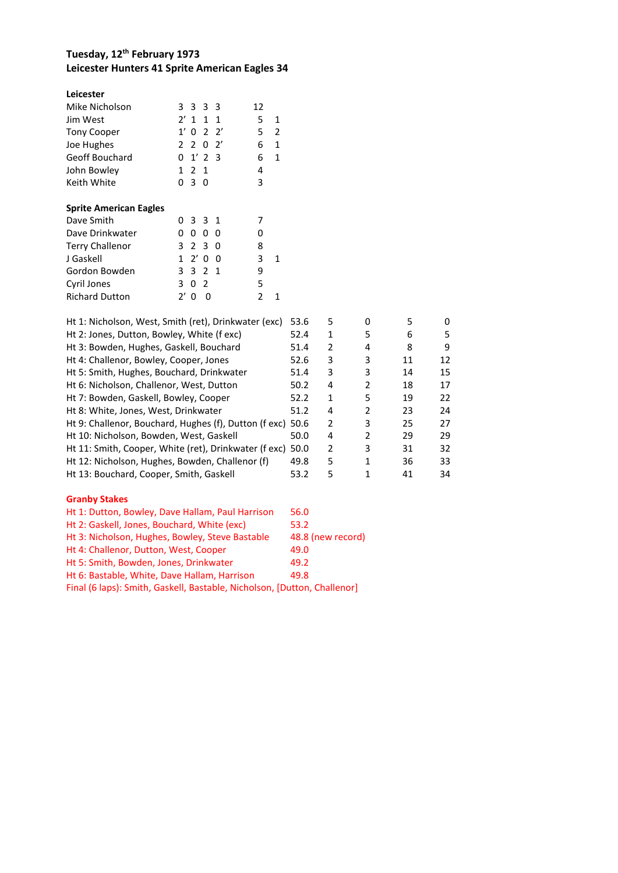# **Tuesday, 12 th February 1973 Leicester Hunters 41 Sprite American Eagles 34**

| Leicester<br>Mike Nicholson<br>Jim West<br><b>Tony Cooper</b><br>Joe Hughes<br>Geoff Bouchard<br>John Bowley<br>Keith White           | 3333<br>$2'$ 1 1 1<br>$0 \t2 \t2'$<br>1'<br>2, 2, 0, 2'<br>$0 \t1' \t2 \t3$<br>1 2 1<br>030 | 12<br>5<br>5<br>6<br>6<br>4<br>3 | 1<br>2<br>1<br>1 |
|---------------------------------------------------------------------------------------------------------------------------------------|---------------------------------------------------------------------------------------------|----------------------------------|------------------|
| <b>Sprite American Eagles</b><br>Dave Smith<br>Dave Drinkwater<br><b>Terry Challenor</b><br>J Gaskell<br>Gordon Bowden<br>Cyril Jones | 0331<br>0<br>O<br>0<br>O<br>3 2 3 0<br>2' 0 0<br>$\mathbf{1}$<br>3 3 2 1<br>02<br>3         | 7<br>O<br>8<br>3<br>9<br>5       | 1                |
| <b>Richard Dutton</b>                                                                                                                 | $\mathcal{V}'$<br>n<br>O                                                                    | 2                                |                  |

| Ht 1: Nicholson, West, Smith (ret), Drinkwater (exc)       | 53.6 | 5             | 0             | 5  |    |
|------------------------------------------------------------|------|---------------|---------------|----|----|
| Ht 2: Jones, Dutton, Bowley, White (f exc)                 | 52.4 | 1             | 5             | 6  | 5. |
| Ht 3: Bowden, Hughes, Gaskell, Bouchard                    | 51.4 | 2             | 4             | 8  | 9  |
| Ht 4: Challenor, Bowley, Cooper, Jones                     | 52.6 | 3             | 3             | 11 | 12 |
| Ht 5: Smith, Hughes, Bouchard, Drinkwater                  | 51.4 | 3             | 3             | 14 | 15 |
| Ht 6: Nicholson, Challenor, West, Dutton                   | 50.2 | 4             | $\mathcal{P}$ | 18 | 17 |
| Ht 7: Bowden, Gaskell, Bowley, Cooper                      | 52.2 | 1             | 5             | 19 | 22 |
| Ht 8: White, Jones, West, Drinkwater                       | 51.2 | 4             | $\mathcal{P}$ | 23 | 24 |
| Ht 9: Challenor, Bouchard, Hughes (f), Dutton (f exc)      | 50.6 | $\mathfrak z$ | 3             | 25 | 27 |
| Ht 10: Nicholson, Bowden, West, Gaskell                    | 50.0 | 4             | $\mathcal{P}$ | 29 | 29 |
| Ht 11: Smith, Cooper, White (ret), Drinkwater (f exc) 50.0 |      | 2             | 3             | 31 | 32 |
| Ht 12: Nicholson, Hughes, Bowden, Challenor (f)            | 49.8 | 5             | 1             | 36 | 33 |
| Ht 13: Bouchard, Cooper, Smith, Gaskell                    | 53.2 | 5             |               | 41 | 34 |

#### **Granby Stakes**

| Ht 1: Dutton, Bowley, Dave Hallam, Paul Harrison                         | 56.0              |
|--------------------------------------------------------------------------|-------------------|
| Ht 2: Gaskell, Jones, Bouchard, White (exc)                              | 53.2              |
| Ht 3: Nicholson, Hughes, Bowley, Steve Bastable                          | 48.8 (new record) |
| Ht 4: Challenor, Dutton, West, Cooper                                    | 49.0              |
| Ht 5: Smith, Bowden, Jones, Drinkwater                                   | 49.2              |
| Ht 6: Bastable, White, Dave Hallam, Harrison                             | 49.8              |
| Final (6 laps): Smith, Gaskell, Bastable, Nicholson, [Dutton, Challenor] |                   |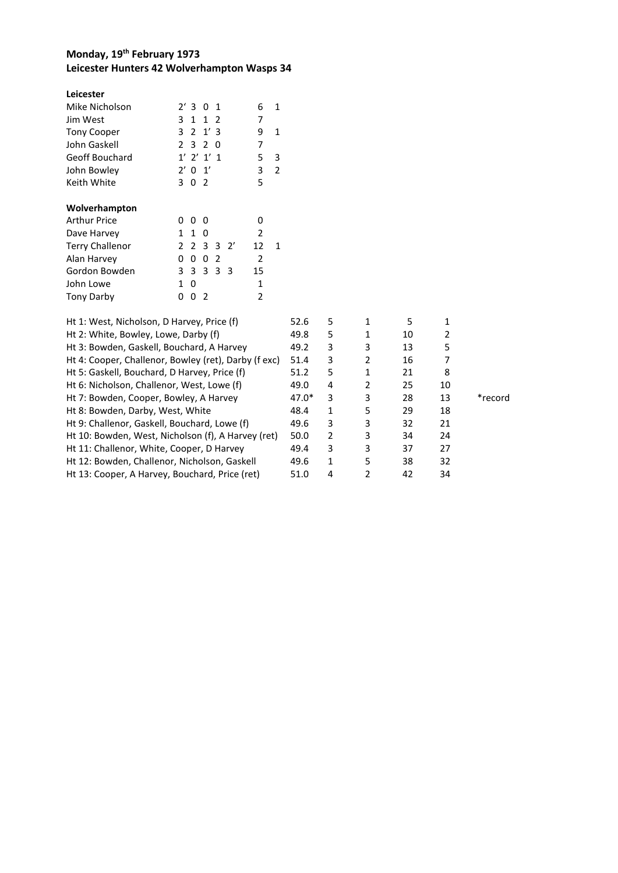# **Monday, 19th February 1973 Leicester Hunters 42 Wolverhampton Wasps 34**

| Leicester                                            |                |                |                |               |    |                |              |      |   |                |    |                         |
|------------------------------------------------------|----------------|----------------|----------------|---------------|----|----------------|--------------|------|---|----------------|----|-------------------------|
| Mike Nicholson                                       |                | 2'3            | $\Omega$       | -1            |    | 6              | 1            |      |   |                |    |                         |
| Jim West                                             | 3              | $\mathbf{1}$   | 1              | $\mathcal{L}$ |    | 7              |              |      |   |                |    |                         |
| <b>Tony Cooper</b>                                   | 3              | 2              |                | 1'3           |    | 9              | $\mathbf{1}$ |      |   |                |    |                         |
| John Gaskell                                         | $\overline{2}$ | 3              | 2              | 0             |    | $\overline{7}$ |              |      |   |                |    |                         |
| Geoff Bouchard                                       |                | $1'$ 2'        |                | $1'$ 1        |    | 5              | 3            |      |   |                |    |                         |
| John Bowley                                          |                | $2'$ 0         | 1'             |               |    | 3              | 2            |      |   |                |    |                         |
| Keith White                                          | 3              | $\mathbf 0$    | $\overline{2}$ |               |    | 5              |              |      |   |                |    |                         |
| Wolverhampton                                        |                |                |                |               |    |                |              |      |   |                |    |                         |
| <b>Arthur Price</b>                                  | 0              | $\Omega$       | $\Omega$       |               |    | 0              |              |      |   |                |    |                         |
| Dave Harvey                                          | $\mathbf{1}$   | 1              | 0              |               |    | 2              |              |      |   |                |    |                         |
| <b>Terry Challenor</b>                               |                | 2 <sub>2</sub> | -3             | 3             | 2' | 12             | $\mathbf{1}$ |      |   |                |    |                         |
| Alan Harvey                                          | 0              | 0              | 0              | 2             |    | $\overline{2}$ |              |      |   |                |    |                         |
| Gordon Bowden                                        |                | 3 3            | 3 3 3          |               |    | 15             |              |      |   |                |    |                         |
| John Lowe                                            | $\mathbf{1}$   | 0              |                |               |    | 1              |              |      |   |                |    |                         |
| <b>Tony Darby</b>                                    | 0              | 0              | -2             |               |    | $\overline{2}$ |              |      |   |                |    |                         |
| Ht 1: West, Nicholson, D Harvey, Price (f)           |                |                |                |               |    |                |              | 52.6 | 5 | 1              | 5  | 1                       |
| Ht 2: White, Bowley, Lowe, Darby (f)                 |                |                |                |               |    |                |              | 49.8 | 5 | 1              | 10 | $\overline{\mathbf{c}}$ |
| Ht 3: Bowden, Gaskell, Bouchard, A Harvey            |                |                |                |               |    |                |              | 49.2 | 3 | 3              | 13 | 5                       |
| Ht 4: Cooper, Challenor, Bowley (ret), Darby (f exc) |                |                |                |               |    |                |              | 51.4 | 3 | $\overline{2}$ | 16 | 7                       |
|                                                      |                |                |                |               |    |                |              |      |   |                |    |                         |

| Ht 5: Gaskell, Bouchard, D Harvey, Price (f)       | 51.2    |   |   | 21 | 8  |         |
|----------------------------------------------------|---------|---|---|----|----|---------|
| Ht 6: Nicholson, Challenor, West, Lowe (f)         | 49.0    | 4 |   | 25 | 10 |         |
| Ht 7: Bowden, Cooper, Bowley, A Harvey             | $47.0*$ | 3 | 3 | 28 | 13 | *record |
| Ht 8: Bowden, Darby, West, White                   | 48.4    | 1 | 5 | 29 | 18 |         |
| Ht 9: Challenor, Gaskell, Bouchard, Lowe (f)       | 49.6    | 3 | 3 | 32 | 21 |         |
| Ht 10: Bowden, West, Nicholson (f), A Harvey (ret) | 50.0    | 2 | 3 | 34 | 24 |         |
| Ht 11: Challenor, White, Cooper, D Harvey          | 49.4    | 3 | 3 | 37 | 27 |         |
| Ht 12: Bowden, Challenor, Nicholson, Gaskell       | 49.6    | 1 | 5 | 38 | 32 |         |
| Ht 13: Cooper, A Harvey, Bouchard, Price (ret)     | 51.0    | 4 |   | 42 | 34 |         |
|                                                    |         |   |   |    |    |         |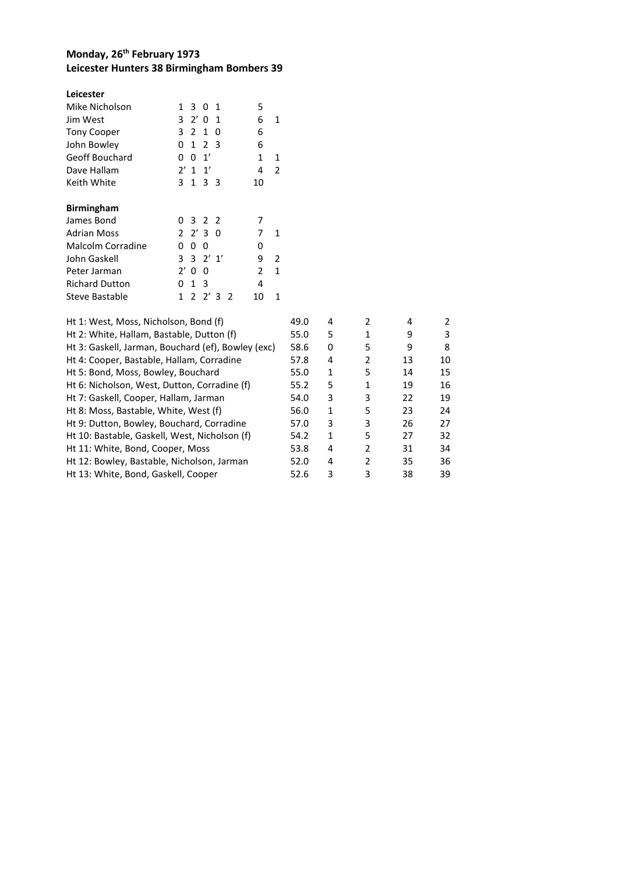# **Monday, 26th February 1973 Leicester Hunters 38 Birmingham Bombers 39**

| Leicester             |                                                     |   |
|-----------------------|-----------------------------------------------------|---|
| Mike Nicholson        | 5<br>1<br>3 0 1                                     |   |
| Jim West              | 3<br>2' 0<br>6<br>$\overline{1}$                    | 1 |
| <b>Tony Cooper</b>    | 3<br>2<br>1<br>0<br>6                               |   |
| John Bowley           | 2 <sub>3</sub><br>1<br>6<br>0                       |   |
| Geoff Bouchard        | 1<br>1'<br>0<br>0                                   | 1 |
| Dave Hallam           | $\mathbf{1}'$<br>$2'$ 1<br>4                        | 2 |
| Keith White           | 3<br>3<br>$\mathbf{1}$<br>- 3<br>10                 |   |
| <b>Birmingham</b>     |                                                     |   |
| James Bond            | 3 2 2<br>7<br>0                                     |   |
| <b>Adrian Moss</b>    | 2230<br>7                                           | 1 |
| Malcolm Corradine     | 0<br>0<br>0<br>0                                    |   |
| John Gaskell          | $3 \t2' \t1'$<br>3.<br>9                            | 2 |
| Peter Jarman          | 2'<br>2<br>0<br>0                                   | 1 |
| <b>Richard Dutton</b> | 3<br>0<br>1<br>4                                    |   |
| Steve Bastable        | $\mathcal{P}$<br>$2'$ 3<br>1<br>$\mathcal{P}$<br>10 | 1 |

| Ht 1: West, Moss, Nicholson, Bond (f)              | 49.0 | 4 | 2              | 4  | $\mathcal{P}$ |
|----------------------------------------------------|------|---|----------------|----|---------------|
| Ht 2: White, Hallam, Bastable, Dutton (f)          | 55.0 | 5 | 1              | 9  | 3             |
| Ht 3: Gaskell, Jarman, Bouchard (ef), Bowley (exc) | 58.6 | 0 | 5              | 9  | 8             |
| Ht 4: Cooper, Bastable, Hallam, Corradine          | 57.8 | 4 | 2              | 13 | 10            |
| Ht 5: Bond, Moss, Bowley, Bouchard                 | 55.0 | 1 | 5              | 14 | 15            |
| Ht 6: Nicholson, West, Dutton, Corradine (f)       | 55.2 | 5 | 1              | 19 | 16            |
| Ht 7: Gaskell, Cooper, Hallam, Jarman              | 54.0 | 3 | 3              | 22 | 19            |
| Ht 8: Moss, Bastable, White, West (f)              | 56.0 | 1 | 5              | 23 | 24            |
| Ht 9: Dutton, Bowley, Bouchard, Corradine          | 57.0 | 3 | 3              | 26 | 27            |
| Ht 10: Bastable, Gaskell, West, Nicholson (f)      | 54.2 | 1 | 5              | 27 | 32            |
| Ht 11: White, Bond, Cooper, Moss                   | 53.8 | 4 | $\overline{2}$ | 31 | 34            |
| Ht 12: Bowley, Bastable, Nicholson, Jarman         | 52.0 | 4 | 2              | 35 | 36            |
| Ht 13: White, Bond, Gaskell, Cooper                | 52.6 | 3 | 3              | 38 | 39            |